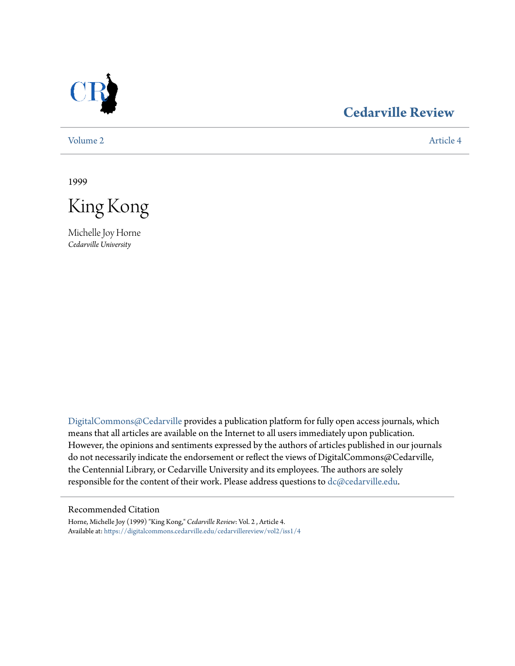

## **[Cedarville Review](https://digitalcommons.cedarville.edu/cedarvillereview?utm_source=digitalcommons.cedarville.edu%2Fcedarvillereview%2Fvol2%2Fiss1%2F4&utm_medium=PDF&utm_campaign=PDFCoverPages)**

[Volume 2](https://digitalcommons.cedarville.edu/cedarvillereview/vol2?utm_source=digitalcommons.cedarville.edu%2Fcedarvillereview%2Fvol2%2Fiss1%2F4&utm_medium=PDF&utm_campaign=PDFCoverPages) [Article 4](https://digitalcommons.cedarville.edu/cedarvillereview/vol2/iss1/4?utm_source=digitalcommons.cedarville.edu%2Fcedarvillereview%2Fvol2%2Fiss1%2F4&utm_medium=PDF&utm_campaign=PDFCoverPages)

1999

King Kong

Michelle Joy Horne *Cedarville University*

[DigitalCommons@Cedarville](http://digitalcommons.cedarville.edu) provides a publication platform for fully open access journals, which means that all articles are available on the Internet to all users immediately upon publication. However, the opinions and sentiments expressed by the authors of articles published in our journals do not necessarily indicate the endorsement or reflect the views of DigitalCommons@Cedarville, the Centennial Library, or Cedarville University and its employees. The authors are solely responsible for the content of their work. Please address questions to [dc@cedarville.edu](mailto:dc@cedarville.edu).

#### Recommended Citation

Horne, Michelle Joy (1999) "King Kong," *Cedarville Review*: Vol. 2 , Article 4. Available at: [https://digitalcommons.cedarville.edu/cedarvillereview/vol2/iss1/4](https://digitalcommons.cedarville.edu/cedarvillereview/vol2/iss1/4?utm_source=digitalcommons.cedarville.edu%2Fcedarvillereview%2Fvol2%2Fiss1%2F4&utm_medium=PDF&utm_campaign=PDFCoverPages)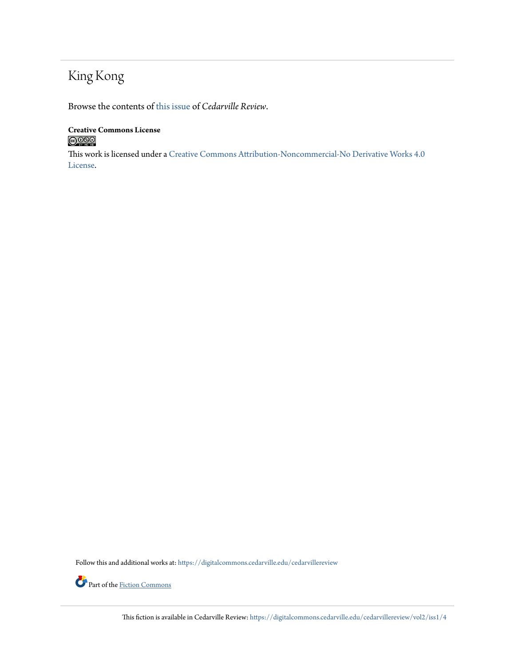# King Kong

Browse the contents of [this issue](https://digitalcommons.cedarville.edu/cedarvillereview/vol2/iss1) of *Cedarville Review*.

#### **Creative Commons License**  $\bigcirc$  000

This work is licensed under a [Creative Commons Attribution-Noncommercial-No Derivative Works 4.0](http://creativecommons.org/licenses/by-nc-nd/4.0/) [License.](http://creativecommons.org/licenses/by-nc-nd/4.0/)

Follow this and additional works at: [https://digitalcommons.cedarville.edu/cedarvillereview](https://digitalcommons.cedarville.edu/cedarvillereview?utm_source=digitalcommons.cedarville.edu%2Fcedarvillereview%2Fvol2%2Fiss1%2F4&utm_medium=PDF&utm_campaign=PDFCoverPages)



Part of the [Fiction Commons](http://network.bepress.com/hgg/discipline/1151?utm_source=digitalcommons.cedarville.edu%2Fcedarvillereview%2Fvol2%2Fiss1%2F4&utm_medium=PDF&utm_campaign=PDFCoverPages)

This fiction is available in Cedarville Review: [https://digitalcommons.cedarville.edu/cedarvillereview/vol2/iss1/4](https://digitalcommons.cedarville.edu/cedarvillereview/vol2/iss1/4?utm_source=digitalcommons.cedarville.edu%2Fcedarvillereview%2Fvol2%2Fiss1%2F4&utm_medium=PDF&utm_campaign=PDFCoverPages)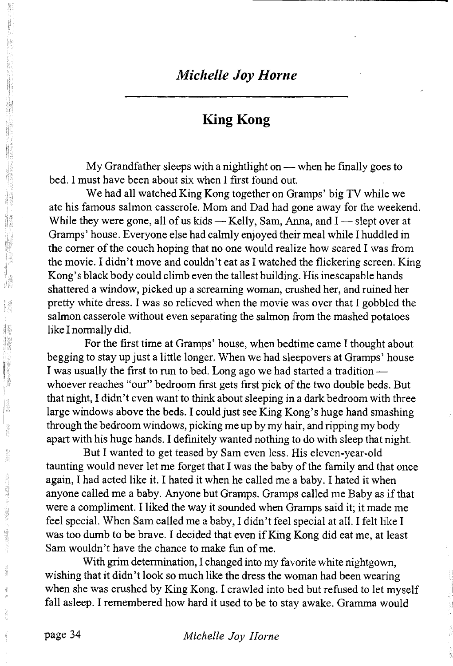## *Michelle Joy Horne*

## **King Kong**

My Grandfather sleeps with a nightlight on — when he finally goes to bed. I must have been about six when I first found out.

We had all watched King Kong together on Gramps' big TV while we ate his famous salmon casserole. Mom and Dad had gone away for the weekend. While they were gone, all of us kids  $-$  Kelly, Sam, Anna, and I  $-$  slept over at Gramps' house. Everyone else had calmly enjoyed their meal while I huddled in the comer of the couch hoping that no one would realize how scared I was from the movie. I didn't move and couldn't eat as I watched the flickering screen. King Kong's black body could climb even the tallest building. His inescapable hands shattered a window, picked up a screaming woman, crushed her, and ruined her pretty white dress. I was so relieved when the movie was over that I gobbled the salmon casserole without even separating the salmon from the mashed potatoes like I normally did.

For the first time at Gramps' house, when bedtime came I thought about begging to stay up just a little longer. When we had sleepovers at Gramps' house I was usually the first to run to bed. Long ago we had started a tradition whoever reaches "our" bedroom first gets first pick of the two double beds. But that night, I didn't even want to think about sleeping in a dark bedroom with three large windows above the beds. I could just see King Kong's huge hand smashing through the bedroom windows, picking me up by my hair, and ripping my body apart with his huge hands. I definitely wanted nothing to do with sleep that night.

But I wanted to get teased by Sam even less. His eleven-year-old taunting would never let me forget that I was the baby of the family and that once again, I had acted like it. I hated it when he called me a baby. I hated it when anyone called me a baby. Anyone but Gramps. Gramps called me Baby as if that were a compliment. I liked the way it sounded when Gramps said it; it made me feel special. When Sam called me a baby, I didn't feel special at all. I felt like I was too dumb to be brave. I decided that even if King Kong did eat me, at least Sam wouldn't have the chance to make fun of me.

With grim determination, I changed into my favorite white nightgown, wishing that it didn't look so much like the dress the woman had been wearing when she was crushed by King Kong. I crawled into bed but refused to let myself fall asleep. I remembered how hard it used to be to stay awake. Gramma would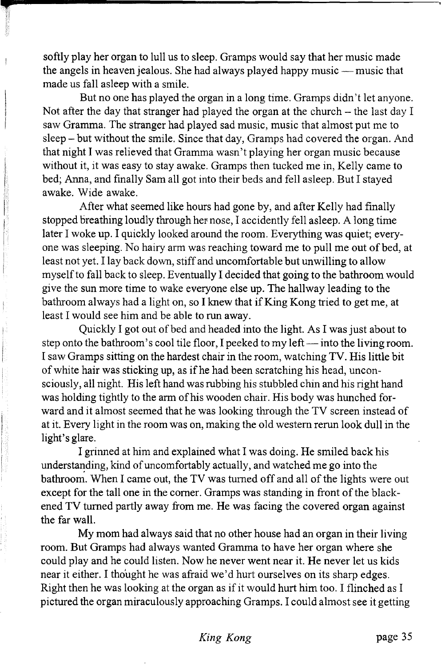softly play her organ to lull us to sleep. Gramps would say that her music made the angels in heaven jealous. She had always played happy music — music that made us fall asleep with a smile.

But no one has played the organ in a long time. Gramps didn't let anyone. Not after the day that stranger had played the organ at the church  $-$  the last day I saw Gramma. The stranger had played sad music, music that almost put me to sleep - but without the smile. Since that day, Gramps had covered the organ. And that night I was relieved that Gramma wasn't playing her organ music because without it, it was easy to stay awake. Gramps then tucked me in, Kelly came to bed; Anna, and finally Sam all got into their beds and fell asleep. But I stayed awake. Wide awake.

After what seemed like hours had gone by, and after Kelly had finally stopped breathing loudly through her nose, I accidently fell asleep. A long time later I woke up. I quickly looked around the room. Everything was quiet; everyone was sleeping. No hairy arm was reaching toward me to pull me out of bed, at least not yet. I lay back down, stiff and uncomfortable but unwilling to allow myself to fall back to sleep. Eventually I decided that going to the bathroom would give the sun more time to wake everyone else up. The hallway leading to the bathroom always had a light on, so I knew that if King Kong tried to get me, at least I would see him and be able to run away.

Quickly I got out of bed and headed into the light. As I was just about to step onto the bathroom's cool tile floor, I peeked to my left — into the living room. I saw Gramps sitting on the hardest chair in the room, watching TV. His little bit of white hair was sticking up, as if he had been scratching his head, unconsciously, all night. His left hand was rubbing his stubbled chin and his right hand was holding tightly to the arm of his wooden chair. His body was hunched forward and it almost seemed that he was looking through the TV screen instead of at it. Every light in the room was on, making the old western rerun look dull in the light's glare.

I grinned at him and explained what I was doing. He smiled back his understanding, kind of uncomfortably actually, and watched me go into the bathroom. When I came out, the TV was turned off and all of the lights were out except for the tall one in the comer. Gramps was standing in front of the blackened TV turned partly away from me. He was facing the covered organ against the far wall.

My mom had always said that no other house had an organ in their living room. But Gramps had always wanted Gramma to have her organ where she could play and he could listen. Now he never went near it. He never let us kids near it either. I thought he was afraid we'd hurt ourselves on its sharp edges. Right then he was looking at the organ as if it would hurt him too. I flinched as I pictured the organ miraculously approaching Gramps. I could almost see it getting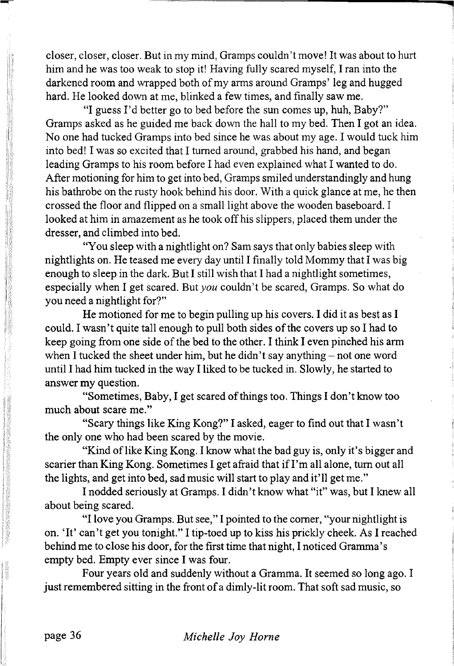closer, closer, closer. But in my mind, Gramps couldn't move! It was about to hurt him and he was too weak to stop it! Having fully scared myself, I ran into the darkened room and wrapped both of my arms around Gramps' leg and hugged hard. He looked down at me, blinked a few times, and finally saw me.

"I guess I'd better go to bed before the sun comes up, huh, Baby?" Gramps asked as he guided me back down the hall to my bed. Then I got an idea. No one had tucked Gramps into bed since he was about my age. I would tuck him into bed! I was so excited that I turned around, grabbed his hand, and began leading Gramps to his room before I had even explained what I wanted to do. After motioning for him to get into bed, Gramps smiled understandingly and hung his bathrobe on the rusty hook behind his door. With a quick glance at me, he then crossed the floor and flipped on a small light above the wooden baseboard. I looked at him in amazement as he took off his slippers, placed them under the dresser, and climbed into bed.

"You sleep with a nightlight on? Sam says that only babies sleep with nightlights on. He teased me every day until I finally told Mommy that I was big enough to sleep in the dark. But I still wish that I had a nightlight sometimes, especially when I get scared. *But you* couldn't be scared, Gramps. So what do you need a nightlight for?"

He motioned for me to begin pulling up his covers. I did it as best as I could. I wasn't quite tall enough to pull both sides of the covers up so I had to keep going from one side of the bed to the other. I think I even pinched his arm when I tucked the sheet under him, but he didn't say anything  $-$  not one word until I had him tucked in the way I liked to be tucked in. Slowly, he started to answer my question.

"Sometimes, Baby, I get scared of things too. Things I don't know too much about scare me."

"Scary things like King Kong?" I asked, eager to find out that I wasn't the only one who had been scared by the movie.

"Kind of like King Kong. I know what the bad guy is, only it's bigger and scarier than King Kong. Sometimes I get afraid that if I'm all alone, turn out all the lights, and get into bed, sad music will start to play and it'll get me."

I nodded seriously at Gramps. I didn't know what "it" was, but I knew all about being scared.

"I love you Gramps. But see," I pointed to the comer, "your nightlight is on. 'It' can't get you tonight." I tip-toed up to kiss his prickly cheek. As I reached behind me to close his door, for the first time that night, I noticed Gramma's empty bed. Empty ever since I was four.

Four years old and suddenly without a Gramma. It seemed so long ago. I just remembered sitting in the front of a dimly-lit room. That soft sad music, so